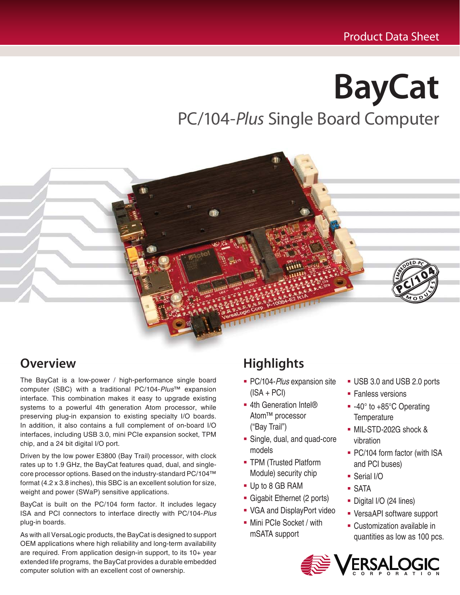# **BayCat** PC/104-*Plus* Single Board Computer



# **Overview**

The BayCat is a low-power / high-performance single board computer (SBC) with a traditional PC/104-Plus™ expansion interface. This combination makes it easy to upgrade existing systems to a powerful 4th generation Atom processor, while preserving plug-in expansion to existing specialty I/O boards. In addition, it also contains a full complement of on-board I/O interfaces, including USB 3.0, mini PCIe expansion socket, TPM chip, and a 24 bit digital I/O port.

Driven by the low power E3800 (Bay Trail) processor, with clock rates up to 1.9 GHz, the BayCat features quad, dual, and singlecore processor options. Based on the industry-standard PC/104™ format (4.2 x 3.8 inches), this SBC is an excellent solution for size, weight and power (SWaP) sensitive applications.

BayCat is built on the PC/104 form factor. It includes legacy ISA and PCI connectors to interface directly with PC/104-Plus plug-in boards.

As with all VersaLogic products, the BayCat is designed to support OEM applications where high reliability and long-term availability are required. From application design-in support, to its 10+ year extended life programs, the BayCat provides a durable embedded computer solution with an excellent cost of ownership.

# **Highlights**

- PC/104-Plus expansion site  $(ISA + PCI)$
- 4th Generation Intel<sup>®</sup> Atom™ processor ("Bay Trail")
- Single, dual, and quad-core models
- **TPM (Trusted Platform** Module) security chip
- Up to 8 GB RAM
- Gigabit Ethernet (2 ports)
- VGA and DisplayPort video
- Mini PCIe Socket / with mSATA support
- USB 3.0 and USB 2.0 ports
- Fanless versions
- -40° to +85°C Operating **Temperature**
- MIL-STD-202G shock & vibration
- PC/104 form factor (with ISA and PCI buses)
- Serial I/O
- SATA
- Digital I/O (24 lines)
- VersaAPI software support
- Customization available in quantities as low as 100 pcs.

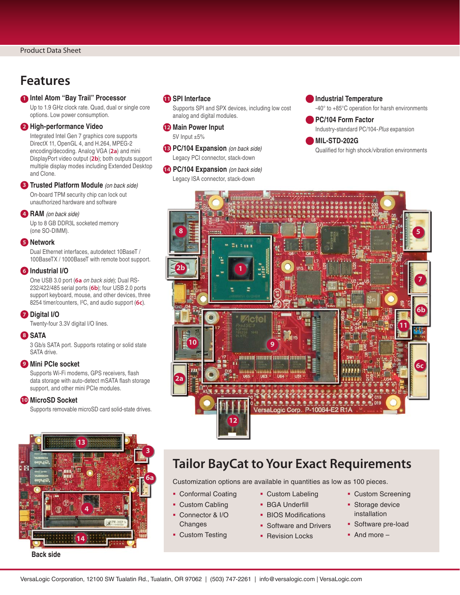### **Features**

#### **1 Intel Atom "Bay Trail" Processor**

Up to 1.9 GHz clock rate. Quad, dual or single core options. Low power consumption.

#### **2 High-performance Video**

Integrated Intel Gen 7 graphics core supports DirectX 11, OpenGL 4, and H.264, MPEG-2 encoding/decoding. Analog VGA (**2a**) and mini DisplayPort video output (**2b**); both outputs support multiple display modes including Extended Desktop and Clone.

#### **3 Trusted Platform Module** (on back side)

On-board TPM security chip can lock out unauthorized hardware and software

#### **4 RAM** (on back side)

Up to 8 GB DDR3L socketed memory (one SO-DIMM).

#### **5 Network**

Dual Ethernet interfaces, autodetect 10BaseT / 100BaseTX / 1000BaseT with remote boot support.

#### **6 Industrial I/O**

One USB 3.0 port (**6a** on back side); Dual RS-232/422/485 serial ports (**6b**); four USB 2.0 ports support keyboard, mouse, and other devices, three 8254 timer/counters, I2 C, and audio support (**6c**).

#### **7 Digital I/O**

Twenty-four 3.3V digital I/O lines.

#### **8 SATA**

3 Gb/s SATA port. Supports rotating or solid state SATA drive.

#### **9 Mini PCIe socket**

Supports Wi-Fi modems, GPS receivers, flash data storage with auto-detect mSATA flash storage support, and other mini PCIe modules.

#### **10 MicroSD Socket**

Supports removable microSD card solid-state drives.



#### **Back side**

#### **11 SPI Interface**

Supports SPI and SPX devices, including low cost analog and digital modules.

#### **12 Main Power Input** 5V Input ±5%

**13 PC/104 Expansion** (on back side) Legacy PCI connector, stack-down

**14 PC/104 Expansion** (on back side)

Legacy ISA connector, stack-down

#### **Industrial Temperature**

-40° to +85°C operation for harsh environments

#### **PC/104 Form Factor** Industry-standard PC/104-Plus expansion

**MIL-STD-202G** Qualified for high shock/vibration environments



### **Tailor BayCat to Your Exact Requirements**

Customization options are available in quantities as low as 100 pieces.

- Conformal Coating
- Custom Cabling
- Connector & I/O **Changes**
- **Custom Testing**
- Custom Labeling **BGA Underfill**
- **BIOS Modifications**
- **Software and Drivers**
- **Revision Locks**
- **Custom Screening**
- **Storage device** installation
- **Software pre-load**
- And more –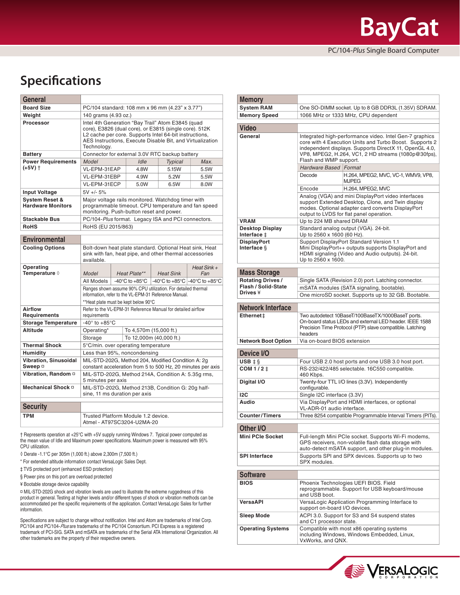# **Specifications**

| General                                               |                                                                                                                                                                                                                                                   |  |              |                  |       |                      |
|-------------------------------------------------------|---------------------------------------------------------------------------------------------------------------------------------------------------------------------------------------------------------------------------------------------------|--|--------------|------------------|-------|----------------------|
| <b>Board Size</b>                                     | PC/104 standard: 108 mm x 96 mm (4.23" x 3.77")                                                                                                                                                                                                   |  |              |                  |       |                      |
| Weight                                                | 140 grams (4.93 oz.)                                                                                                                                                                                                                              |  |              |                  |       |                      |
| Processor                                             | Intel 4th Generation "Bay Trail" Atom E3845 (quad<br>core), E3826 (dual core), or E3815 (single core). 512K<br>L2 cache per core. Supports Intel 64-bit instructions,<br>AES Instructions, Execute Disable Bit, and Virtualization<br>Technology. |  |              |                  |       |                      |
| <b>Battery</b>                                        | Connector for external 3.0V RTC backup battery                                                                                                                                                                                                    |  |              |                  |       |                      |
| <b>Power Requirements</b>                             | Model<br>Idle<br><b>Typical</b>                                                                                                                                                                                                                   |  |              |                  |       | Max.                 |
| $(+5V)$ †                                             | VL-EPM-31EAP                                                                                                                                                                                                                                      |  | 4.8W         |                  | 5.15W | 5.5W                 |
|                                                       | VL-EPM-31EBP                                                                                                                                                                                                                                      |  | 4.9W         |                  | 5.2W  | 5.5W                 |
|                                                       | VL-EPM-31ECP                                                                                                                                                                                                                                      |  | 5.0W         |                  | 6.5W  | 8.0W                 |
| <b>Input Voltage</b>                                  | $5V + - 5%$                                                                                                                                                                                                                                       |  |              |                  |       |                      |
| <b>System Reset &amp;</b><br><b>Hardware Monitors</b> | Major voltage rails monitored. Watchdog timer with<br>programmable timeout. CPU temperature and fan speed<br>monitoring. Push-button reset and power.                                                                                             |  |              |                  |       |                      |
| <b>Stackable Bus</b>                                  | PC/104-Plus format. Legacy ISA and PCI connectors.                                                                                                                                                                                                |  |              |                  |       |                      |
| <b>RoHS</b>                                           | RoHS (EU 2015/863)                                                                                                                                                                                                                                |  |              |                  |       |                      |
| <b>Environmental</b>                                  |                                                                                                                                                                                                                                                   |  |              |                  |       |                      |
|                                                       |                                                                                                                                                                                                                                                   |  |              |                  |       |                      |
| <b>Cooling Options</b>                                | Bolt-down heat plate standard. Optional Heat sink, Heat<br>sink with fan, heat pipe, and other thermal accessories<br>available.                                                                                                                  |  |              |                  |       |                      |
| Operating<br>Temperature $\Diamond$                   | Model                                                                                                                                                                                                                                             |  | Heat Plate** | <b>Heat Sink</b> |       | Heat Sink $+$<br>Fan |
|                                                       | -40°C to +85°C -40°C to +85°C<br>All Models<br>$-40^{\circ}$ C to $+85^{\circ}$ C                                                                                                                                                                 |  |              |                  |       |                      |
|                                                       | Ranges shown assume 90% CPU utilization. For detailed thermal<br>information, refer to the VL-EPM-31 Reference Manual.                                                                                                                            |  |              |                  |       |                      |
| Airflow                                               | **Heat plate must be kept below 90°C                                                                                                                                                                                                              |  |              |                  |       |                      |
| Requirements                                          | Refer to the VL-EPM-31 Reference Manual for detailed airflow<br>requirements                                                                                                                                                                      |  |              |                  |       |                      |
| <b>Storage Temperature</b>                            | -40 $^{\circ}$ to +85 $^{\circ}$ C                                                                                                                                                                                                                |  |              |                  |       |                      |
| <b>Altitude</b>                                       | To 4,570m (15,000 ft.)<br>Operating*                                                                                                                                                                                                              |  |              |                  |       |                      |
|                                                       | To 12,000m (40,000 ft.)<br>Storage                                                                                                                                                                                                                |  |              |                  |       |                      |
| <b>Thermal Shock</b>                                  | 5°C/min. over operating temperature                                                                                                                                                                                                               |  |              |                  |       |                      |
| <b>Humidity</b>                                       | Less than 95%, noncondensing                                                                                                                                                                                                                      |  |              |                  |       |                      |
| <b>Vibration, Sinusoidal</b><br>Sweep ¤               | MIL-STD-202G, Method 204, Modified Condition A: 2g<br>constant acceleration from 5 to 500 Hz, 20 minutes per axis                                                                                                                                 |  |              |                  |       |                      |
| Vibration, Random ¤                                   | MIL-STD-202G, Method 214A, Condition A: 5.35q rms,<br>5 minutes per axis                                                                                                                                                                          |  |              |                  |       |                      |
| Mechanical Shock ¤                                    | MIL-STD-202G, Method 213B, Condition G: 20g half-<br>sine, 11 ms duration per axis                                                                                                                                                                |  |              |                  |       |                      |
| <b>Security</b>                                       |                                                                                                                                                                                                                                                   |  |              |                  |       |                      |
|                                                       |                                                                                                                                                                                                                                                   |  |              |                  |       |                      |
| <b>TPM</b>                                            | Trusted Platform Module 1.2 device.<br>Atmel - AT97SC3204-U2MA-20                                                                                                                                                                                 |  |              |                  |       |                      |

† Represents operation at +25°C with +5V supply running Windows 7. Typical power computed as the mean value of Idle and Maximum power specifications. Maximum power is measured with 95% CPU utilization.

- \* For extended altitude information contact VersaLogic Sales Dept.
- ‡ TVS protected port (enhanced ESD protection)
- § Power pins on this port are overload protected
- ¥ Bootable storage device capability

¤ MIL-STD-202G shock and vibration levels are used to illustrate the extreme ruggedness of this product in general. Testing at higher levels and/or different types of shock or vibration methods can be accommodated per the specific requirements of the application. Contact VersaLogic Sales for further information.

Specifications are subject to change without notification. Intel and Atom are trademarks of Intel Corp.<br>PC/104 and PC/104-*Plus* are trademarks of the PC/104 Consortium. PCI Express is a registered trademark of PCI-SIG. SATA and mSATA are trademarks of the Serial ATA International Organization. All other trademarks are the property of their respective owners.

| <b>Memory</b>                              |                                                                                                                                                                                                                                                                                               |  |  |  |  |
|--------------------------------------------|-----------------------------------------------------------------------------------------------------------------------------------------------------------------------------------------------------------------------------------------------------------------------------------------------|--|--|--|--|
| <b>System RAM</b>                          | One SO-DIMM socket. Up to 8 GB DDR3L (1.35V) SDRAM.                                                                                                                                                                                                                                           |  |  |  |  |
| <b>Memory Speed</b>                        | 1066 MHz or 1333 MHz, CPU dependent                                                                                                                                                                                                                                                           |  |  |  |  |
| <b>Video</b>                               |                                                                                                                                                                                                                                                                                               |  |  |  |  |
| General                                    | Integrated high-performance video. Intel Gen-7 graphics<br>core with 4 Execution Units and Turbo Boost. Supports 2<br>independent displays. Supports DirectX 11, OpenGL 4.0,<br>VP8, MPEG2, H.264, VC1, 2 HD streams (1080p@30fps),<br>Flash and WMP support.<br><b>Hardware Based Format</b> |  |  |  |  |
|                                            | H.264, MPEG2, MVC, VC-1, WMV9, VP8,<br>Decode                                                                                                                                                                                                                                                 |  |  |  |  |
|                                            | <b>MJPEG</b>                                                                                                                                                                                                                                                                                  |  |  |  |  |
|                                            | H.264, MPEG2, MVC<br>Encode<br>Analog (VGA) and mini DisplayPort video interfaces                                                                                                                                                                                                             |  |  |  |  |
|                                            | support Extended Desktop, Clone, and Twin display<br>modes. Optional adapter card converts DisplayPort<br>output to LVDS for flat panel operation.                                                                                                                                            |  |  |  |  |
| <b>VRAM</b>                                | Up to 224 MB shared DRAM                                                                                                                                                                                                                                                                      |  |  |  |  |
| <b>Desktop Display</b><br>Interface ‡      | Standard analog output (VGA). 24-bit.<br>Up to 2560 x 1600 (60 Hz).                                                                                                                                                                                                                           |  |  |  |  |
| <b>DisplayPort</b><br>Interface §          | Support DisplayPort Standard Version 1.1<br>Mini DisplayPort++ outputs supports DisplayPort and<br>HDMI signaling (Video and Audio outputs). 24-bit.<br>Up to 2560 x 1600.                                                                                                                    |  |  |  |  |
| <b>Mass Storage</b>                        |                                                                                                                                                                                                                                                                                               |  |  |  |  |
| <b>Rotating Drives /</b>                   | Single SATA (Revision 2.0) port. Latching connector.                                                                                                                                                                                                                                          |  |  |  |  |
| Flash / Solid-State<br>Drives <sup>¥</sup> | mSATA modules (SATA signaling, bootable).                                                                                                                                                                                                                                                     |  |  |  |  |
|                                            | One microSD socket. Supports up to 32 GB. Bootable.                                                                                                                                                                                                                                           |  |  |  |  |
| <b>Network Interface</b>                   |                                                                                                                                                                                                                                                                                               |  |  |  |  |
| Ethernet ±                                 | Two autodetect 10BaseT/100BaseTX/1000BaseT ports.<br>On-board status LEDs and external LED header. IEEE 1588<br>Precision Time Protocol (PTP) slave compatible. Latching<br>headers                                                                                                           |  |  |  |  |
| <b>Network Boot Option</b>                 | Via on-board BIOS extension                                                                                                                                                                                                                                                                   |  |  |  |  |
| Device I/O                                 |                                                                                                                                                                                                                                                                                               |  |  |  |  |
| USB $\ddagger$ §                           | Four USB 2.0 host ports and one USB 3.0 host port.                                                                                                                                                                                                                                            |  |  |  |  |
| COM 1/2 ‡                                  | RS-232/422/485 selectable. 16C550 compatible.<br>460 Kbps.                                                                                                                                                                                                                                    |  |  |  |  |
| Digital I/O                                | Twenty-four TTL I/O lines (3.3V). Independently<br>configurable.                                                                                                                                                                                                                              |  |  |  |  |
| 12C                                        | Single I2C interface (3.3V)                                                                                                                                                                                                                                                                   |  |  |  |  |
| Audio                                      | Via DisplayPort and HDMI interfaces, or optional<br>VL-ADR-01 audio interface.                                                                                                                                                                                                                |  |  |  |  |
| <b>Counter/Timers</b>                      | Three 8254 compatible Programmable Interval Timers (PITs).                                                                                                                                                                                                                                    |  |  |  |  |
| Other I/O                                  |                                                                                                                                                                                                                                                                                               |  |  |  |  |
| <b>Mini PCIe Socket</b>                    | Full-length Mini PCIe socket. Supports Wi-Fi modems,<br>GPS receivers, non-volatile flash data storage with<br>auto-detect mSATA support, and other plug-in modules.                                                                                                                          |  |  |  |  |
| <b>SPI Interface</b>                       | Supports SPI and SPX devices. Supports up to two<br>SPX modules.                                                                                                                                                                                                                              |  |  |  |  |
| <b>Software</b>                            |                                                                                                                                                                                                                                                                                               |  |  |  |  |
| <b>BIOS</b>                                | Phoenix Technologies UEFI BIOS. Field<br>reprogrammable. Support for USB keyboard/mouse<br>and USB boot.                                                                                                                                                                                      |  |  |  |  |
| <b>VersaAPI</b>                            | VersaLogic Application Programming Interface to<br>support on-board I/O devices.                                                                                                                                                                                                              |  |  |  |  |
| Sleep Mode                                 | ACPI 3.0. Support for S3 and S4 suspend states<br>and C1 processor state.                                                                                                                                                                                                                     |  |  |  |  |
| <b>Operating Systems</b>                   | Compatible with most x86 operating systems<br>including Windows, Windows Embedded, Linux,<br>VxWorks, and QNX.                                                                                                                                                                                |  |  |  |  |



<sup>◊</sup> Derate -1.1°C per 305m (1,000 ft.) above 2,300m (7,500 ft.)